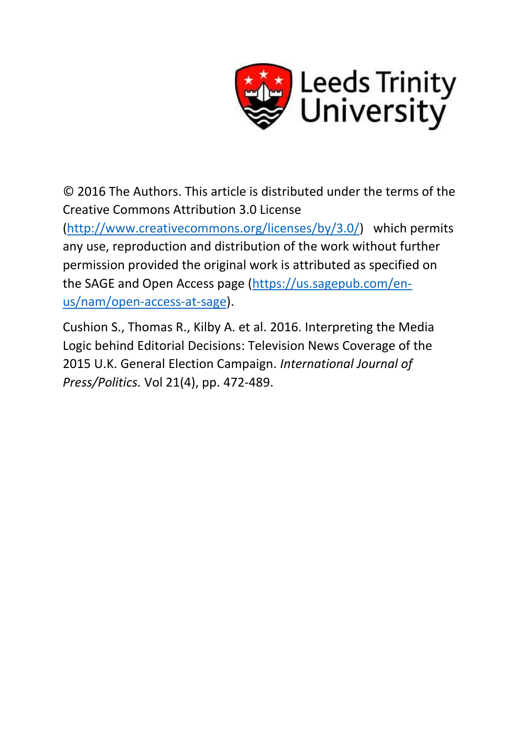

© 2016 The Authors. This article is distributed under the terms of the Creative Commons Attribution 3.0 License

[\(http://www.creativecommons.org/licenses/by/3.0/\)](http://www.creativecommons.org/licenses/by/3.0/) which permits any use, reproduction and distribution of the work without further permission provided the original work is attributed as specified on the SAGE and Open Access page [\(https://us.sagepub.com/en](https://us.sagepub.com/en-us/nam/open-access-at-sage)[us/nam/open-access-at-sage\)](https://us.sagepub.com/en-us/nam/open-access-at-sage).

Cushion S., Thomas R., Kilby A. et al. 2016. Interpreting the Media Logic behind Editorial Decisions: Television News Coverage of the 2015 U.K. General Election Campaign. *International Journal of Press/Politics.* Vol 21(4), pp. 472-489.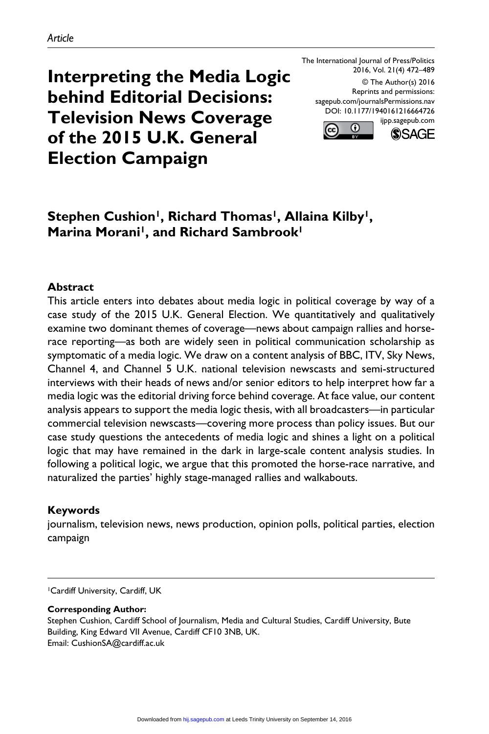# **Interpreting the Media Logic behind Editorial Decisions: Television News Coverage of the 2015 U.K. General Election Campaign**

The International Journal of Press/Politics 2016, Vol. 21(4) 472–489 © The Author(s) 2016 Reprints and permissions: sagepub.com/journalsPermissions.nav DOI: 10.1177/1940161216664726



# Stephen Cushion<sup>1</sup>, Richard Thomas<sup>1</sup>, Allaina Kilby<sup>1</sup>, Marina Morani<sup>1</sup>, and Richard Sambrook<sup>1</sup>

### **Abstract**

This article enters into debates about media logic in political coverage by way of a case study of the 2015 U.K. General Election. We quantitatively and qualitatively examine two dominant themes of coverage—news about campaign rallies and horserace reporting—as both are widely seen in political communication scholarship as symptomatic of a media logic. We draw on a content analysis of BBC, ITV, Sky News, Channel 4, and Channel 5 U.K. national television newscasts and semi-structured interviews with their heads of news and/or senior editors to help interpret how far a media logic was the editorial driving force behind coverage. At face value, our content analysis appears to support the media logic thesis, with all broadcasters—in particular commercial television newscasts—covering more process than policy issues. But our case study questions the antecedents of media logic and shines a light on a political logic that may have remained in the dark in large-scale content analysis studies. In following a political logic, we argue that this promoted the horse-race narrative, and naturalized the parties' highly stage-managed rallies and walkabouts.

### **Keywords**

journalism, television news, news production, opinion polls, political parties, election campaign

1Cardiff University, Cardiff, UK

#### **Corresponding Author:**

Stephen Cushion, Cardiff School of Journalism, Media and Cultural Studies, Cardiff University, Bute Building, King Edward VII Avenue, Cardiff CF10 3NB, UK. Email: CushionSA@cardiff.ac.uk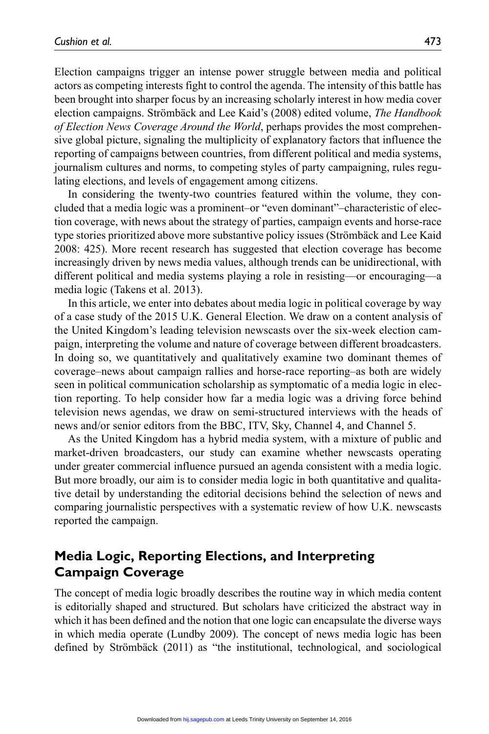Election campaigns trigger an intense power struggle between media and political actors as competing interests fight to control the agenda. The intensity of this battle has been brought into sharper focus by an increasing scholarly interest in how media cover election campaigns. Strömbäck and Lee Kaid's (2008) edited volume, *The Handbook of Election News Coverage Around the World*, perhaps provides the most comprehensive global picture, signaling the multiplicity of explanatory factors that influence the reporting of campaigns between countries, from different political and media systems, journalism cultures and norms, to competing styles of party campaigning, rules regulating elections, and levels of engagement among citizens.

In considering the twenty-two countries featured within the volume, they concluded that a media logic was a prominent–or "even dominant"–characteristic of election coverage, with news about the strategy of parties, campaign events and horse-race type stories prioritized above more substantive policy issues (Strömbäck and Lee Kaid 2008: 425). More recent research has suggested that election coverage has become increasingly driven by news media values, although trends can be unidirectional, with different political and media systems playing a role in resisting—or encouraging—a media logic (Takens et al. 2013).

In this article, we enter into debates about media logic in political coverage by way of a case study of the 2015 U.K. General Election. We draw on a content analysis of the United Kingdom's leading television newscasts over the six-week election campaign, interpreting the volume and nature of coverage between different broadcasters. In doing so, we quantitatively and qualitatively examine two dominant themes of coverage–news about campaign rallies and horse-race reporting–as both are widely seen in political communication scholarship as symptomatic of a media logic in election reporting. To help consider how far a media logic was a driving force behind television news agendas, we draw on semi-structured interviews with the heads of news and/or senior editors from the BBC, ITV, Sky, Channel 4, and Channel 5.

As the United Kingdom has a hybrid media system, with a mixture of public and market-driven broadcasters, our study can examine whether newscasts operating under greater commercial influence pursued an agenda consistent with a media logic. But more broadly, our aim is to consider media logic in both quantitative and qualitative detail by understanding the editorial decisions behind the selection of news and comparing journalistic perspectives with a systematic review of how U.K. newscasts reported the campaign.

# **Media Logic, Reporting Elections, and Interpreting Campaign Coverage**

The concept of media logic broadly describes the routine way in which media content is editorially shaped and structured. But scholars have criticized the abstract way in which it has been defined and the notion that one logic can encapsulate the diverse ways in which media operate (Lundby 2009). The concept of news media logic has been defined by Strömbäck (2011) as "the institutional, technological, and sociological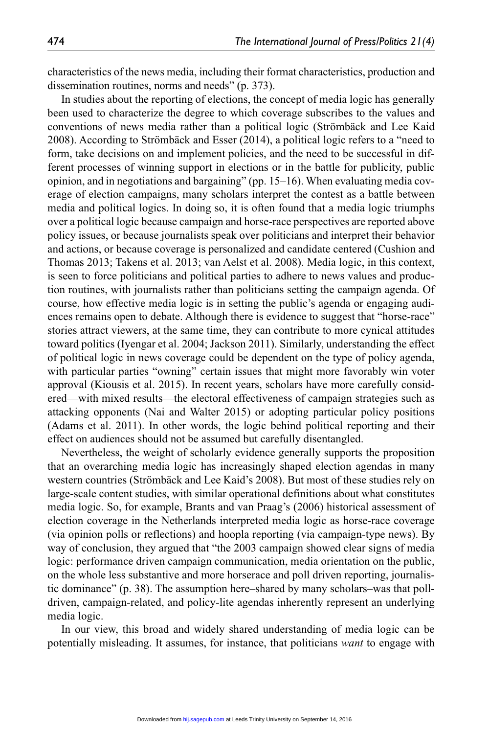characteristics of the news media, including their format characteristics, production and dissemination routines, norms and needs" (p. 373).

In studies about the reporting of elections, the concept of media logic has generally been used to characterize the degree to which coverage subscribes to the values and conventions of news media rather than a political logic (Strömbäck and Lee Kaid 2008). According to Strömbäck and Esser (2014), a political logic refers to a "need to form, take decisions on and implement policies, and the need to be successful in different processes of winning support in elections or in the battle for publicity, public opinion, and in negotiations and bargaining" (pp. 15–16). When evaluating media coverage of election campaigns, many scholars interpret the contest as a battle between media and political logics. In doing so, it is often found that a media logic triumphs over a political logic because campaign and horse-race perspectives are reported above policy issues, or because journalists speak over politicians and interpret their behavior and actions, or because coverage is personalized and candidate centered (Cushion and Thomas 2013; Takens et al. 2013; van Aelst et al. 2008). Media logic, in this context, is seen to force politicians and political parties to adhere to news values and production routines, with journalists rather than politicians setting the campaign agenda. Of course, how effective media logic is in setting the public's agenda or engaging audiences remains open to debate. Although there is evidence to suggest that "horse-race" stories attract viewers, at the same time, they can contribute to more cynical attitudes toward politics (Iyengar et al. 2004; Jackson 2011). Similarly, understanding the effect of political logic in news coverage could be dependent on the type of policy agenda, with particular parties "owning" certain issues that might more favorably win voter approval (Kiousis et al. 2015). In recent years, scholars have more carefully considered—with mixed results—the electoral effectiveness of campaign strategies such as attacking opponents (Nai and Walter 2015) or adopting particular policy positions (Adams et al. 2011). In other words, the logic behind political reporting and their effect on audiences should not be assumed but carefully disentangled.

Nevertheless, the weight of scholarly evidence generally supports the proposition that an overarching media logic has increasingly shaped election agendas in many western countries (Strömbäck and Lee Kaid's 2008). But most of these studies rely on large-scale content studies, with similar operational definitions about what constitutes media logic. So, for example, Brants and van Praag's (2006) historical assessment of election coverage in the Netherlands interpreted media logic as horse-race coverage (via opinion polls or reflections) and hoopla reporting (via campaign-type news). By way of conclusion, they argued that "the 2003 campaign showed clear signs of media logic: performance driven campaign communication, media orientation on the public, on the whole less substantive and more horserace and poll driven reporting, journalistic dominance" (p. 38). The assumption here–shared by many scholars–was that polldriven, campaign-related, and policy-lite agendas inherently represent an underlying media logic.

In our view, this broad and widely shared understanding of media logic can be potentially misleading. It assumes, for instance, that politicians *want* to engage with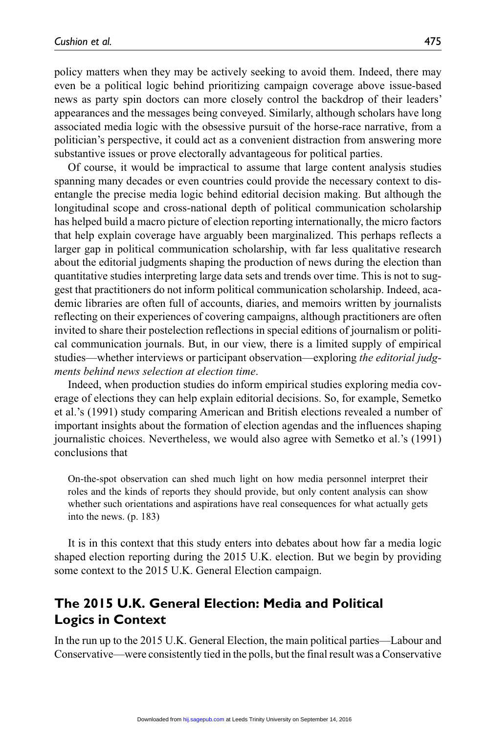policy matters when they may be actively seeking to avoid them. Indeed, there may even be a political logic behind prioritizing campaign coverage above issue-based news as party spin doctors can more closely control the backdrop of their leaders' appearances and the messages being conveyed. Similarly, although scholars have long associated media logic with the obsessive pursuit of the horse-race narrative, from a politician's perspective, it could act as a convenient distraction from answering more substantive issues or prove electorally advantageous for political parties.

Of course, it would be impractical to assume that large content analysis studies spanning many decades or even countries could provide the necessary context to disentangle the precise media logic behind editorial decision making. But although the longitudinal scope and cross-national depth of political communication scholarship has helped build a macro picture of election reporting internationally, the micro factors that help explain coverage have arguably been marginalized. This perhaps reflects a larger gap in political communication scholarship, with far less qualitative research about the editorial judgments shaping the production of news during the election than quantitative studies interpreting large data sets and trends over time. This is not to suggest that practitioners do not inform political communication scholarship. Indeed, academic libraries are often full of accounts, diaries, and memoirs written by journalists reflecting on their experiences of covering campaigns, although practitioners are often invited to share their postelection reflections in special editions of journalism or political communication journals. But, in our view, there is a limited supply of empirical studies—whether interviews or participant observation—exploring *the editorial judgments behind news selection at election time*.

Indeed, when production studies do inform empirical studies exploring media coverage of elections they can help explain editorial decisions. So, for example, Semetko et al.'s (1991) study comparing American and British elections revealed a number of important insights about the formation of election agendas and the influences shaping journalistic choices. Nevertheless, we would also agree with Semetko et al.'s (1991) conclusions that

On-the-spot observation can shed much light on how media personnel interpret their roles and the kinds of reports they should provide, but only content analysis can show whether such orientations and aspirations have real consequences for what actually gets into the news. (p. 183)

It is in this context that this study enters into debates about how far a media logic shaped election reporting during the 2015 U.K. election. But we begin by providing some context to the 2015 U.K. General Election campaign.

# **The 2015 U.K. General Election: Media and Political Logics in Context**

In the run up to the 2015 U.K. General Election, the main political parties—Labour and Conservative—were consistently tied in the polls, but the final result was a Conservative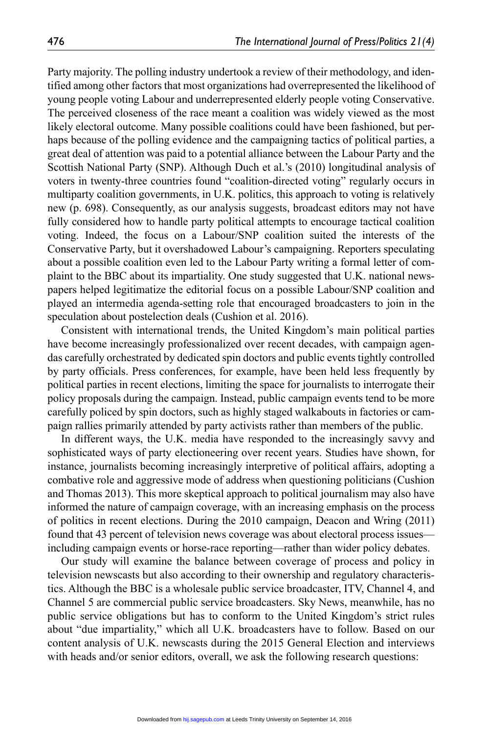Party majority. The polling industry undertook a review of their methodology, and identified among other factors that most organizations had overrepresented the likelihood of young people voting Labour and underrepresented elderly people voting Conservative. The perceived closeness of the race meant a coalition was widely viewed as the most likely electoral outcome. Many possible coalitions could have been fashioned, but perhaps because of the polling evidence and the campaigning tactics of political parties, a great deal of attention was paid to a potential alliance between the Labour Party and the Scottish National Party (SNP). Although Duch et al.'s (2010) longitudinal analysis of voters in twenty-three countries found "coalition-directed voting" regularly occurs in multiparty coalition governments, in U.K. politics, this approach to voting is relatively new (p. 698). Consequently, as our analysis suggests, broadcast editors may not have fully considered how to handle party political attempts to encourage tactical coalition voting. Indeed, the focus on a Labour/SNP coalition suited the interests of the Conservative Party, but it overshadowed Labour's campaigning. Reporters speculating about a possible coalition even led to the Labour Party writing a formal letter of complaint to the BBC about its impartiality. One study suggested that U.K. national newspapers helped legitimatize the editorial focus on a possible Labour/SNP coalition and played an intermedia agenda-setting role that encouraged broadcasters to join in the speculation about postelection deals (Cushion et al. 2016).

Consistent with international trends, the United Kingdom's main political parties have become increasingly professionalized over recent decades, with campaign agendas carefully orchestrated by dedicated spin doctors and public events tightly controlled by party officials. Press conferences, for example, have been held less frequently by political parties in recent elections, limiting the space for journalists to interrogate their policy proposals during the campaign. Instead, public campaign events tend to be more carefully policed by spin doctors, such as highly staged walkabouts in factories or campaign rallies primarily attended by party activists rather than members of the public.

In different ways, the U.K. media have responded to the increasingly savvy and sophisticated ways of party electioneering over recent years. Studies have shown, for instance, journalists becoming increasingly interpretive of political affairs, adopting a combative role and aggressive mode of address when questioning politicians (Cushion and Thomas 2013). This more skeptical approach to political journalism may also have informed the nature of campaign coverage, with an increasing emphasis on the process of politics in recent elections. During the 2010 campaign, Deacon and Wring (2011) found that 43 percent of television news coverage was about electoral process issues including campaign events or horse-race reporting—rather than wider policy debates.

Our study will examine the balance between coverage of process and policy in television newscasts but also according to their ownership and regulatory characteristics. Although the BBC is a wholesale public service broadcaster, ITV, Channel 4, and Channel 5 are commercial public service broadcasters. Sky News, meanwhile, has no public service obligations but has to conform to the United Kingdom's strict rules about "due impartiality," which all U.K. broadcasters have to follow. Based on our content analysis of U.K. newscasts during the 2015 General Election and interviews with heads and/or senior editors, overall, we ask the following research questions: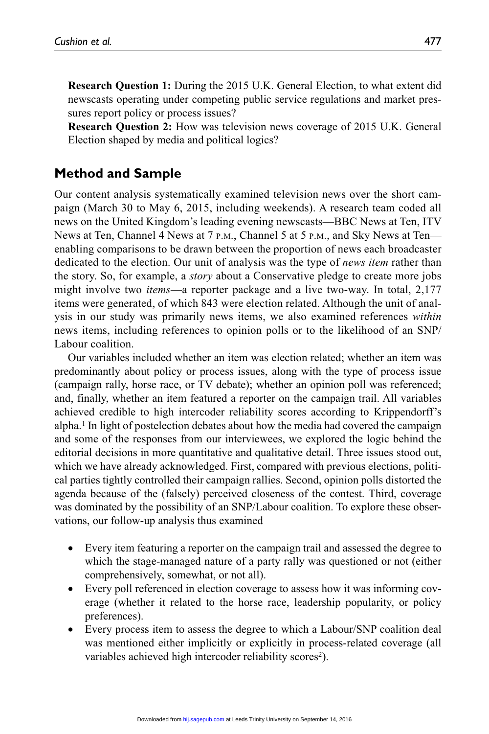**Research Question 1:** During the 2015 U.K. General Election, to what extent did newscasts operating under competing public service regulations and market pressures report policy or process issues?

**Research Question 2:** How was television news coverage of 2015 U.K. General Election shaped by media and political logics?

### **Method and Sample**

Our content analysis systematically examined television news over the short campaign (March 30 to May 6, 2015, including weekends). A research team coded all news on the United Kingdom's leading evening newscasts—BBC News at Ten, ITV News at Ten, Channel 4 News at 7 p.m., Channel 5 at 5 p.m., and Sky News at Ten enabling comparisons to be drawn between the proportion of news each broadcaster dedicated to the election. Our unit of analysis was the type of *news item* rather than the story. So, for example, a *story* about a Conservative pledge to create more jobs might involve two *items*—a reporter package and a live two-way. In total, 2,177 items were generated, of which 843 were election related. Although the unit of analysis in our study was primarily news items, we also examined references *within* news items, including references to opinion polls or to the likelihood of an SNP/ Labour coalition.

Our variables included whether an item was election related; whether an item was predominantly about policy or process issues, along with the type of process issue (campaign rally, horse race, or TV debate); whether an opinion poll was referenced; and, finally, whether an item featured a reporter on the campaign trail. All variables achieved credible to high intercoder reliability scores according to Krippendorff's alpha.1 In light of postelection debates about how the media had covered the campaign and some of the responses from our interviewees, we explored the logic behind the editorial decisions in more quantitative and qualitative detail. Three issues stood out, which we have already acknowledged. First, compared with previous elections, political parties tightly controlled their campaign rallies. Second, opinion polls distorted the agenda because of the (falsely) perceived closeness of the contest. Third, coverage was dominated by the possibility of an SNP/Labour coalition. To explore these observations, our follow-up analysis thus examined

- Every item featuring a reporter on the campaign trail and assessed the degree to which the stage-managed nature of a party rally was questioned or not (either comprehensively, somewhat, or not all).
- Every poll referenced in election coverage to assess how it was informing coverage (whether it related to the horse race, leadership popularity, or policy preferences).
- Every process item to assess the degree to which a Labour/SNP coalition deal was mentioned either implicitly or explicitly in process-related coverage (all variables achieved high intercoder reliability scores<sup>2</sup>).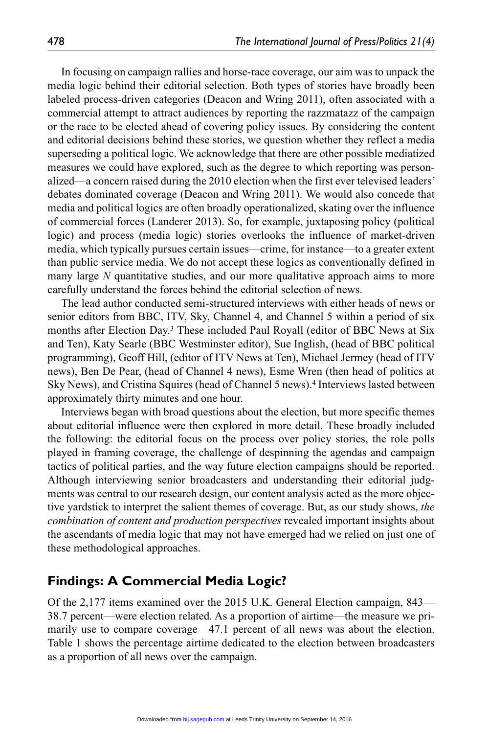In focusing on campaign rallies and horse-race coverage, our aim was to unpack the media logic behind their editorial selection. Both types of stories have broadly been labeled process-driven categories (Deacon and Wring 2011), often associated with a commercial attempt to attract audiences by reporting the razzmatazz of the campaign or the race to be elected ahead of covering policy issues. By considering the content and editorial decisions behind these stories, we question whether they reflect a media superseding a political logic. We acknowledge that there are other possible mediatized measures we could have explored, such as the degree to which reporting was personalized—a concern raised during the 2010 election when the first ever televised leaders' debates dominated coverage (Deacon and Wring 2011). We would also concede that media and political logics are often broadly operationalized, skating over the influence of commercial forces (Landerer 2013). So, for example, juxtaposing policy (political logic) and process (media logic) stories overlooks the influence of market-driven media, which typically pursues certain issues—crime, for instance—to a greater extent than public service media. We do not accept these logics as conventionally defined in many large *N* quantitative studies, and our more qualitative approach aims to more carefully understand the forces behind the editorial selection of news.

The lead author conducted semi-structured interviews with either heads of news or senior editors from BBC, ITV, Sky, Channel 4, and Channel 5 within a period of six months after Election Day.3 These included Paul Royall (editor of BBC News at Six and Ten), Katy Searle (BBC Westminster editor), Sue Inglish, (head of BBC political programming), Geoff Hill, (editor of ITV News at Ten), Michael Jermey (head of ITV news), Ben De Pear, (head of Channel 4 news), Esme Wren (then head of politics at Sky News), and Cristina Squires (head of Channel 5 news).4 Interviews lasted between approximately thirty minutes and one hour.

Interviews began with broad questions about the election, but more specific themes about editorial influence were then explored in more detail. These broadly included the following: the editorial focus on the process over policy stories, the role polls played in framing coverage, the challenge of despinning the agendas and campaign tactics of political parties, and the way future election campaigns should be reported. Although interviewing senior broadcasters and understanding their editorial judgments was central to our research design, our content analysis acted as the more objective yardstick to interpret the salient themes of coverage. But, as our study shows, *the combination of content and production perspectives* revealed important insights about the ascendants of media logic that may not have emerged had we relied on just one of these methodological approaches.

# **Findings: A Commercial Media Logic?**

Of the 2,177 items examined over the 2015 U.K. General Election campaign, 843— 38.7 percent—were election related. As a proportion of airtime—the measure we primarily use to compare coverage—47.1 percent of all news was about the election. Table 1 shows the percentage airtime dedicated to the election between broadcasters as a proportion of all news over the campaign.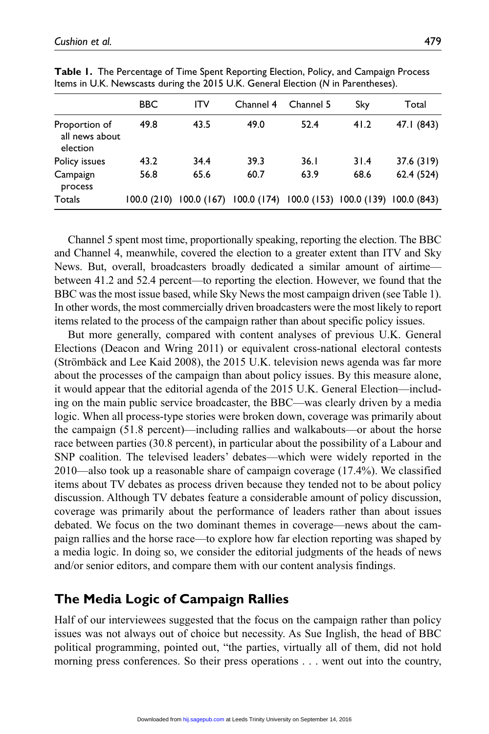|                                             | <b>BBC</b> | ITV        | Channel 4  | Channel 5               | Sky  | Total      |
|---------------------------------------------|------------|------------|------------|-------------------------|------|------------|
| Proportion of<br>all news about<br>election | 49.8       | 43.5       | 49.0       | 52.4                    | 41.2 | 47.1 (843) |
| Policy issues                               | 43.2       | 34.4       | 39.3       | 36.1                    | 31.4 | 37.6 (319) |
| Campaign<br>process                         | 56.8       | 65.6       | 60.7       | 63.9                    | 68.6 | 62.4 (524) |
| Totals                                      | 100.0(210) | 100.0(167) | 100.0(174) | 100.0 (153) 100.0 (139) |      | 100.0(843) |

**Table 1.** The Percentage of Time Spent Reporting Election, Policy, and Campaign Process Items in U.K. Newscasts during the 2015 U.K. General Election (*N* in Parentheses).

Channel 5 spent most time, proportionally speaking, reporting the election. The BBC and Channel 4, meanwhile, covered the election to a greater extent than ITV and Sky News. But, overall, broadcasters broadly dedicated a similar amount of airtime between 41.2 and 52.4 percent—to reporting the election. However, we found that the BBC was the most issue based, while Sky News the most campaign driven (see Table 1). In other words, the most commercially driven broadcasters were the most likely to report items related to the process of the campaign rather than about specific policy issues.

But more generally, compared with content analyses of previous U.K. General Elections (Deacon and Wring 2011) or equivalent cross-national electoral contests (Strömbäck and Lee Kaid 2008), the 2015 U.K. television news agenda was far more about the processes of the campaign than about policy issues. By this measure alone, it would appear that the editorial agenda of the 2015 U.K. General Election—including on the main public service broadcaster, the BBC—was clearly driven by a media logic. When all process-type stories were broken down, coverage was primarily about the campaign (51.8 percent)—including rallies and walkabouts—or about the horse race between parties (30.8 percent), in particular about the possibility of a Labour and SNP coalition. The televised leaders' debates—which were widely reported in the 2010—also took up a reasonable share of campaign coverage (17.4%). We classified items about TV debates as process driven because they tended not to be about policy discussion. Although TV debates feature a considerable amount of policy discussion, coverage was primarily about the performance of leaders rather than about issues debated. We focus on the two dominant themes in coverage—news about the campaign rallies and the horse race—to explore how far election reporting was shaped by a media logic. In doing so, we consider the editorial judgments of the heads of news and/or senior editors, and compare them with our content analysis findings.

# **The Media Logic of Campaign Rallies**

Half of our interviewees suggested that the focus on the campaign rather than policy issues was not always out of choice but necessity. As Sue Inglish, the head of BBC political programming, pointed out, "the parties, virtually all of them, did not hold morning press conferences. So their press operations . . . went out into the country,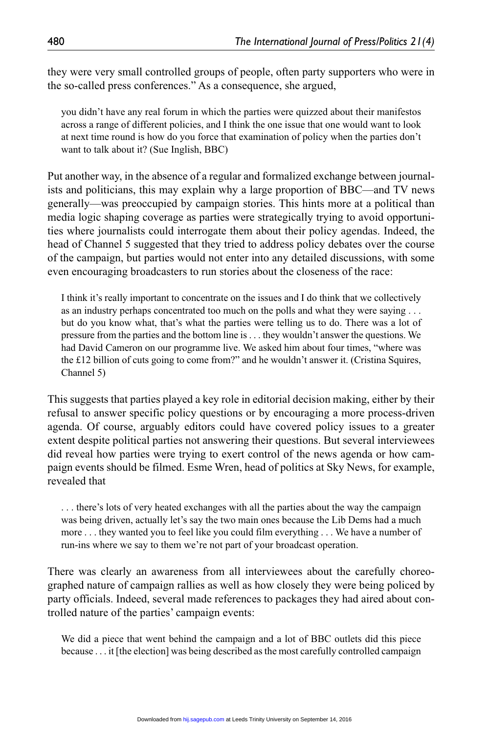they were very small controlled groups of people, often party supporters who were in the so-called press conferences." As a consequence, she argued,

you didn't have any real forum in which the parties were quizzed about their manifestos across a range of different policies, and I think the one issue that one would want to look at next time round is how do you force that examination of policy when the parties don't want to talk about it? (Sue Inglish, BBC)

Put another way, in the absence of a regular and formalized exchange between journalists and politicians, this may explain why a large proportion of BBC—and TV news generally—was preoccupied by campaign stories. This hints more at a political than media logic shaping coverage as parties were strategically trying to avoid opportunities where journalists could interrogate them about their policy agendas. Indeed, the head of Channel 5 suggested that they tried to address policy debates over the course of the campaign, but parties would not enter into any detailed discussions, with some even encouraging broadcasters to run stories about the closeness of the race:

I think it's really important to concentrate on the issues and I do think that we collectively as an industry perhaps concentrated too much on the polls and what they were saying . . . but do you know what, that's what the parties were telling us to do. There was a lot of pressure from the parties and the bottom line is . . . they wouldn't answer the questions. We had David Cameron on our programme live. We asked him about four times, "where was the £12 billion of cuts going to come from?" and he wouldn't answer it. (Cristina Squires, Channel 5)

This suggests that parties played a key role in editorial decision making, either by their refusal to answer specific policy questions or by encouraging a more process-driven agenda. Of course, arguably editors could have covered policy issues to a greater extent despite political parties not answering their questions. But several interviewees did reveal how parties were trying to exert control of the news agenda or how campaign events should be filmed. Esme Wren, head of politics at Sky News, for example, revealed that

. . . there's lots of very heated exchanges with all the parties about the way the campaign was being driven, actually let's say the two main ones because the Lib Dems had a much more . . . they wanted you to feel like you could film everything . . . We have a number of run-ins where we say to them we're not part of your broadcast operation.

There was clearly an awareness from all interviewees about the carefully choreographed nature of campaign rallies as well as how closely they were being policed by party officials. Indeed, several made references to packages they had aired about controlled nature of the parties' campaign events:

We did a piece that went behind the campaign and a lot of BBC outlets did this piece because . . . it [the election] was being described as the most carefully controlled campaign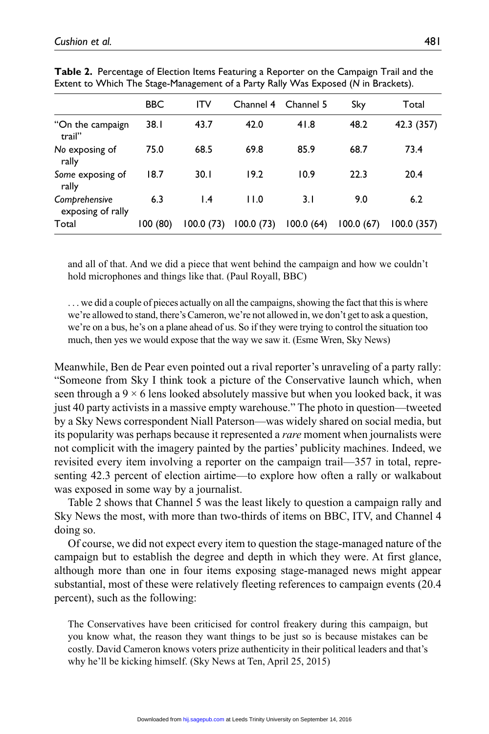|                                    | <b>BBC</b> | ITV             | Channel 4 | Channel 5 | Sky       | Total      |
|------------------------------------|------------|-----------------|-----------|-----------|-----------|------------|
| "On the campaign<br>trail"         | 38.1       | 43.7            | 42.0      | 41.8      | 48.2      | 42.3 (357) |
| No exposing of<br>rally            | 75.0       | 68.5            | 69.8      | 85.9      | 68.7      | 73.4       |
| Some exposing of<br>rally          | 18.7       | 30.1            | 19.2      | 10.9      | 22.3      | 20.4       |
| Comprehensive<br>exposing of rally | 6.3        | $\mathsf{I}$ .4 | 11.0      | 3.1       | 9.0       | 6.2        |
| Total                              | 100(80)    | 100.0(73)       | 100.0(73) | 100.0(64) | 100.0(67) | 100.0(357) |

**Table 2.** Percentage of Election Items Featuring a Reporter on the Campaign Trail and the Extent to Which The Stage-Management of a Party Rally Was Exposed (*N* in Brackets).

and all of that. And we did a piece that went behind the campaign and how we couldn't hold microphones and things like that. (Paul Royall, BBC)

. . . we did a couple of pieces actually on all the campaigns, showing the fact that this is where we're allowed to stand, there's Cameron, we're not allowed in, we don't get to ask a question, we're on a bus, he's on a plane ahead of us. So if they were trying to control the situation too much, then yes we would expose that the way we saw it. (Esme Wren, Sky News)

Meanwhile, Ben de Pear even pointed out a rival reporter's unraveling of a party rally: "Someone from Sky I think took a picture of the Conservative launch which, when seen through a  $9 \times 6$  lens looked absolutely massive but when you looked back, it was just 40 party activists in a massive empty warehouse." The photo in question—tweeted by a Sky News correspondent Niall Paterson—was widely shared on social media, but its popularity was perhaps because it represented a *rare* moment when journalists were not complicit with the imagery painted by the parties' publicity machines. Indeed, we revisited every item involving a reporter on the campaign trail—357 in total, representing 42.3 percent of election airtime—to explore how often a rally or walkabout was exposed in some way by a journalist.

Table 2 shows that Channel 5 was the least likely to question a campaign rally and Sky News the most, with more than two-thirds of items on BBC, ITV, and Channel 4 doing so.

Of course, we did not expect every item to question the stage-managed nature of the campaign but to establish the degree and depth in which they were. At first glance, although more than one in four items exposing stage-managed news might appear substantial, most of these were relatively fleeting references to campaign events (20.4 percent), such as the following:

The Conservatives have been criticised for control freakery during this campaign, but you know what, the reason they want things to be just so is because mistakes can be costly. David Cameron knows voters prize authenticity in their political leaders and that's why he'll be kicking himself. (Sky News at Ten, April 25, 2015)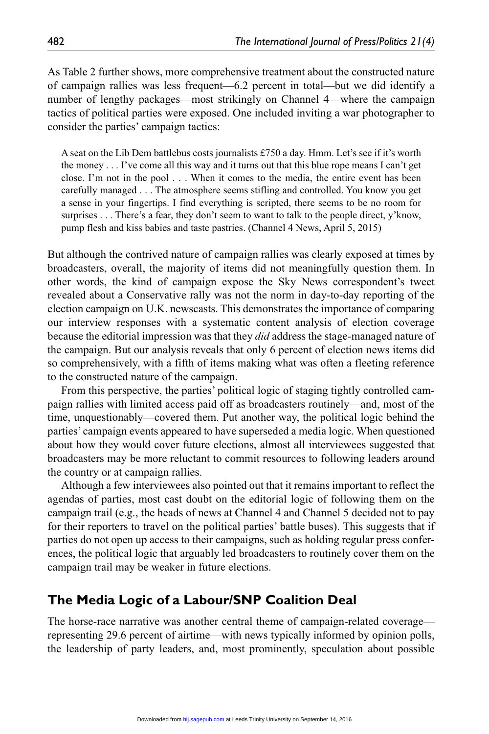As Table 2 further shows, more comprehensive treatment about the constructed nature of campaign rallies was less frequent—6.2 percent in total—but we did identify a number of lengthy packages—most strikingly on Channel 4—where the campaign tactics of political parties were exposed. One included inviting a war photographer to consider the parties' campaign tactics:

A seat on the Lib Dem battlebus costs journalists £750 a day. Hmm. Let's see if it's worth the money . . . I've come all this way and it turns out that this blue rope means I can't get close. I'm not in the pool . . . When it comes to the media, the entire event has been carefully managed . . . The atmosphere seems stifling and controlled. You know you get a sense in your fingertips. I find everything is scripted, there seems to be no room for surprises . . . There's a fear, they don't seem to want to talk to the people direct, y'know, pump flesh and kiss babies and taste pastries. (Channel 4 News, April 5, 2015)

But although the contrived nature of campaign rallies was clearly exposed at times by broadcasters, overall, the majority of items did not meaningfully question them. In other words, the kind of campaign expose the Sky News correspondent's tweet revealed about a Conservative rally was not the norm in day-to-day reporting of the election campaign on U.K. newscasts. This demonstrates the importance of comparing our interview responses with a systematic content analysis of election coverage because the editorial impression was that they *did* address the stage-managed nature of the campaign. But our analysis reveals that only 6 percent of election news items did so comprehensively, with a fifth of items making what was often a fleeting reference to the constructed nature of the campaign.

From this perspective, the parties' political logic of staging tightly controlled campaign rallies with limited access paid off as broadcasters routinely—and, most of the time, unquestionably—covered them. Put another way, the political logic behind the parties' campaign events appeared to have superseded a media logic. When questioned about how they would cover future elections, almost all interviewees suggested that broadcasters may be more reluctant to commit resources to following leaders around the country or at campaign rallies.

Although a few interviewees also pointed out that it remains important to reflect the agendas of parties, most cast doubt on the editorial logic of following them on the campaign trail (e.g., the heads of news at Channel 4 and Channel 5 decided not to pay for their reporters to travel on the political parties' battle buses). This suggests that if parties do not open up access to their campaigns, such as holding regular press conferences, the political logic that arguably led broadcasters to routinely cover them on the campaign trail may be weaker in future elections.

### **The Media Logic of a Labour/SNP Coalition Deal**

The horse-race narrative was another central theme of campaign-related coverage representing 29.6 percent of airtime—with news typically informed by opinion polls, the leadership of party leaders, and, most prominently, speculation about possible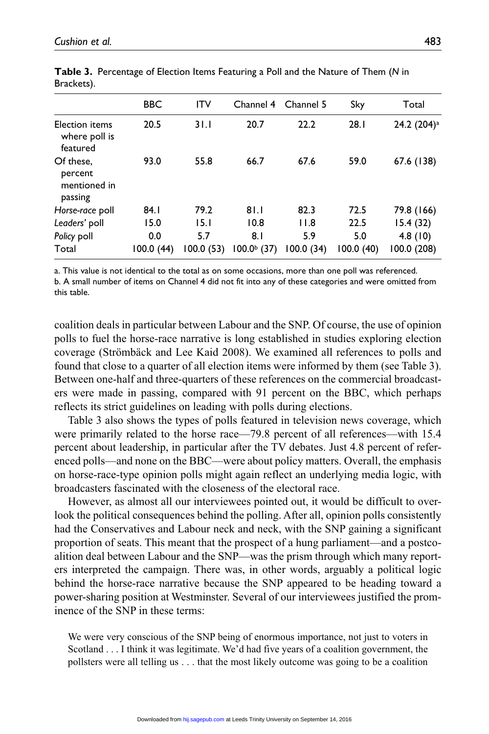|                                                    | <b>BBC</b> | <b>ITV</b> | Channel 4            | Channel 5 | Sky       | Total                     |
|----------------------------------------------------|------------|------------|----------------------|-----------|-----------|---------------------------|
| <b>Election</b> items<br>where poll is<br>featured | 20.5       | 31.1       | 20.7                 | 22.2      | 28.1      | $24.2$ (204) <sup>a</sup> |
| Of these.<br>percent<br>mentioned in<br>passing    | 93.0       | 55.8       | 66.7                 | 67.6      | 59.0      | 67.6 (138)                |
| Horse-race poll                                    | 84.1       | 79.2       | 81.1                 | 82.3      | 72.5      | 79.8 (166)                |
| Leaders' poll                                      | 15.0       | 15.1       | 10.8                 | 11.8      | 22.5      | 15.4(32)                  |
| Policy poll                                        | 0.0        | 5.7        | 8.1                  | 5.9       | 5.0       | 4.8(10)                   |
| Total                                              | 100.0 (44) | 100.0(53)  | $100.0^{\circ}$ (37) | 100.0(34) | 100.0(40) | 100.0 (208)               |
|                                                    |            |            |                      |           |           |                           |

**Table 3.** Percentage of Election Items Featuring a Poll and the Nature of Them (*N* in Brackets).

a. This value is not identical to the total as on some occasions, more than one poll was referenced.

b. A small number of items on Channel 4 did not fit into any of these categories and were omitted from this table.

coalition deals in particular between Labour and the SNP. Of course, the use of opinion polls to fuel the horse-race narrative is long established in studies exploring election coverage (Strömbäck and Lee Kaid 2008). We examined all references to polls and found that close to a quarter of all election items were informed by them (see Table 3). Between one-half and three-quarters of these references on the commercial broadcasters were made in passing, compared with 91 percent on the BBC, which perhaps reflects its strict guidelines on leading with polls during elections.

Table 3 also shows the types of polls featured in television news coverage, which were primarily related to the horse race—79.8 percent of all references—with 15.4 percent about leadership, in particular after the TV debates. Just 4.8 percent of referenced polls—and none on the BBC—were about policy matters. Overall, the emphasis on horse-race-type opinion polls might again reflect an underlying media logic, with broadcasters fascinated with the closeness of the electoral race.

However, as almost all our interviewees pointed out, it would be difficult to overlook the political consequences behind the polling. After all, opinion polls consistently had the Conservatives and Labour neck and neck, with the SNP gaining a significant proportion of seats. This meant that the prospect of a hung parliament—and a postcoalition deal between Labour and the SNP—was the prism through which many reporters interpreted the campaign. There was, in other words, arguably a political logic behind the horse-race narrative because the SNP appeared to be heading toward a power-sharing position at Westminster. Several of our interviewees justified the prominence of the SNP in these terms:

We were very conscious of the SNP being of enormous importance, not just to voters in Scotland . . . I think it was legitimate. We'd had five years of a coalition government, the pollsters were all telling us . . . that the most likely outcome was going to be a coalition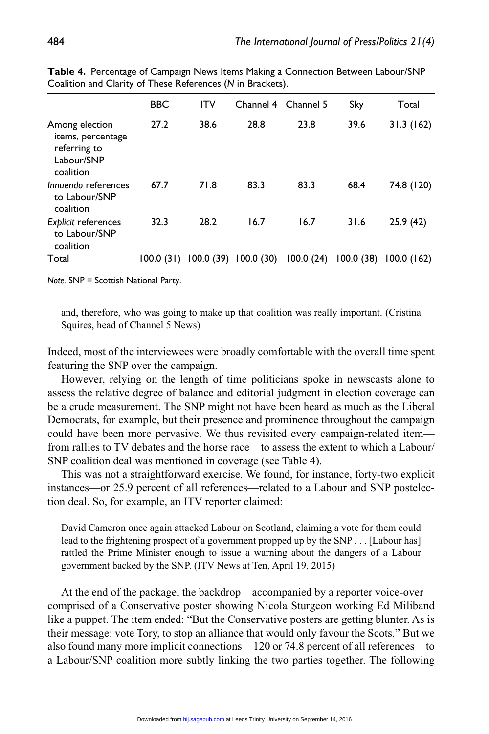|                                                                                | <b>BBC</b> | ITV       |           | Channel 4 Channel 5 | Sky       | Total      |
|--------------------------------------------------------------------------------|------------|-----------|-----------|---------------------|-----------|------------|
| Among election<br>items, percentage<br>referring to<br>Labour/SNP<br>coalition | 27.2       | 38.6      | 28.8      | 23.8                | 39.6      | 31.3(162)  |
| Innuendo references<br>to Labour/SNP<br>coalition                              | 67.7       | 71.8      | 83.3      | 83.3                | 68.4      | 74.8 (120) |
| <b>Explicit references</b><br>to Labour/SNP<br>coalition                       | 32.3       | 28.2      | 16.7      | 16.7                | 31.6      | 25.9(42)   |
| Total                                                                          | 100.0(31)  | 100.0(39) | 100.0(30) | 100.0(24)           | 100.0(38) | 100.0(162) |

**Table 4.** Percentage of Campaign News Items Making a Connection Between Labour/SNP Coalition and Clarity of These References (*N* in Brackets).

*Note.* SNP = Scottish National Party.

and, therefore, who was going to make up that coalition was really important. (Cristina Squires, head of Channel 5 News)

Indeed, most of the interviewees were broadly comfortable with the overall time spent featuring the SNP over the campaign.

However, relying on the length of time politicians spoke in newscasts alone to assess the relative degree of balance and editorial judgment in election coverage can be a crude measurement. The SNP might not have been heard as much as the Liberal Democrats, for example, but their presence and prominence throughout the campaign could have been more pervasive. We thus revisited every campaign-related item from rallies to TV debates and the horse race—to assess the extent to which a Labour/ SNP coalition deal was mentioned in coverage (see Table 4).

This was not a straightforward exercise. We found, for instance, forty-two explicit instances—or 25.9 percent of all references—related to a Labour and SNP postelection deal. So, for example, an ITV reporter claimed:

David Cameron once again attacked Labour on Scotland, claiming a vote for them could lead to the frightening prospect of a government propped up by the SNP . . . [Labour has] rattled the Prime Minister enough to issue a warning about the dangers of a Labour government backed by the SNP. (ITV News at Ten, April 19, 2015)

At the end of the package, the backdrop—accompanied by a reporter voice-over comprised of a Conservative poster showing Nicola Sturgeon working Ed Miliband like a puppet. The item ended: "But the Conservative posters are getting blunter. As is their message: vote Tory, to stop an alliance that would only favour the Scots." But we also found many more implicit connections—120 or 74.8 percent of all references—to a Labour/SNP coalition more subtly linking the two parties together. The following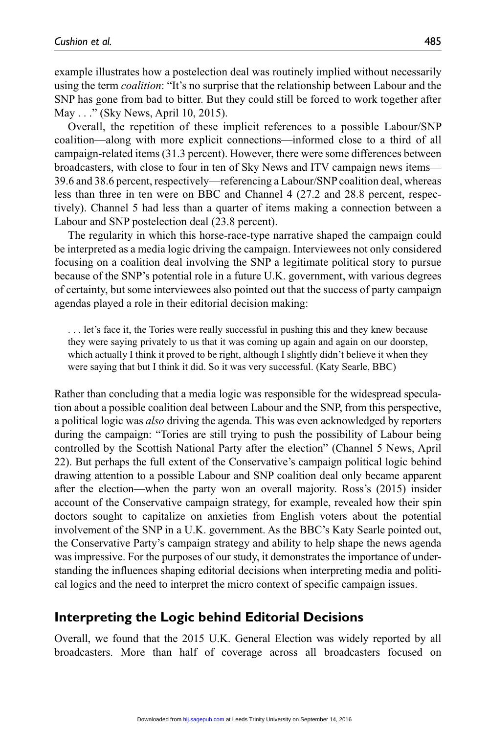example illustrates how a postelection deal was routinely implied without necessarily using the term *coalition*: "It's no surprise that the relationship between Labour and the SNP has gone from bad to bitter. But they could still be forced to work together after May . . ." (Sky News, April 10, 2015).

Overall, the repetition of these implicit references to a possible Labour/SNP coalition—along with more explicit connections—informed close to a third of all campaign-related items (31.3 percent). However, there were some differences between broadcasters, with close to four in ten of Sky News and ITV campaign news items— 39.6 and 38.6 percent, respectively—referencing a Labour/SNP coalition deal, whereas less than three in ten were on BBC and Channel 4 (27.2 and 28.8 percent, respectively). Channel 5 had less than a quarter of items making a connection between a Labour and SNP postelection deal (23.8 percent).

The regularity in which this horse-race-type narrative shaped the campaign could be interpreted as a media logic driving the campaign. Interviewees not only considered focusing on a coalition deal involving the SNP a legitimate political story to pursue because of the SNP's potential role in a future U.K. government, with various degrees of certainty, but some interviewees also pointed out that the success of party campaign agendas played a role in their editorial decision making:

. . . let's face it, the Tories were really successful in pushing this and they knew because they were saying privately to us that it was coming up again and again on our doorstep, which actually I think it proved to be right, although I slightly didn't believe it when they were saying that but I think it did. So it was very successful. (Katy Searle, BBC)

Rather than concluding that a media logic was responsible for the widespread speculation about a possible coalition deal between Labour and the SNP, from this perspective, a political logic was *also* driving the agenda. This was even acknowledged by reporters during the campaign: "Tories are still trying to push the possibility of Labour being controlled by the Scottish National Party after the election" (Channel 5 News, April 22). But perhaps the full extent of the Conservative's campaign political logic behind drawing attention to a possible Labour and SNP coalition deal only became apparent after the election—when the party won an overall majority. Ross's (2015) insider account of the Conservative campaign strategy, for example, revealed how their spin doctors sought to capitalize on anxieties from English voters about the potential involvement of the SNP in a U.K. government. As the BBC's Katy Searle pointed out, the Conservative Party's campaign strategy and ability to help shape the news agenda was impressive. For the purposes of our study, it demonstrates the importance of understanding the influences shaping editorial decisions when interpreting media and political logics and the need to interpret the micro context of specific campaign issues.

### **Interpreting the Logic behind Editorial Decisions**

Overall, we found that the 2015 U.K. General Election was widely reported by all broadcasters. More than half of coverage across all broadcasters focused on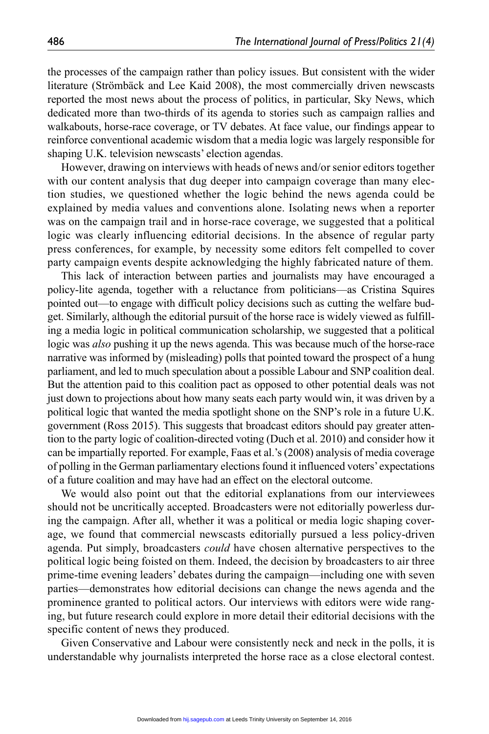the processes of the campaign rather than policy issues. But consistent with the wider literature (Strömbäck and Lee Kaid 2008), the most commercially driven newscasts reported the most news about the process of politics, in particular, Sky News, which dedicated more than two-thirds of its agenda to stories such as campaign rallies and walkabouts, horse-race coverage, or TV debates. At face value, our findings appear to reinforce conventional academic wisdom that a media logic was largely responsible for shaping U.K. television newscasts' election agendas.

However, drawing on interviews with heads of news and/or senior editors together with our content analysis that dug deeper into campaign coverage than many election studies, we questioned whether the logic behind the news agenda could be explained by media values and conventions alone. Isolating news when a reporter was on the campaign trail and in horse-race coverage, we suggested that a political logic was clearly influencing editorial decisions. In the absence of regular party press conferences, for example, by necessity some editors felt compelled to cover party campaign events despite acknowledging the highly fabricated nature of them.

This lack of interaction between parties and journalists may have encouraged a policy-lite agenda, together with a reluctance from politicians—as Cristina Squires pointed out—to engage with difficult policy decisions such as cutting the welfare budget. Similarly, although the editorial pursuit of the horse race is widely viewed as fulfilling a media logic in political communication scholarship, we suggested that a political logic was *also* pushing it up the news agenda. This was because much of the horse-race narrative was informed by (misleading) polls that pointed toward the prospect of a hung parliament, and led to much speculation about a possible Labour and SNP coalition deal. But the attention paid to this coalition pact as opposed to other potential deals was not just down to projections about how many seats each party would win, it was driven by a political logic that wanted the media spotlight shone on the SNP's role in a future U.K. government (Ross 2015). This suggests that broadcast editors should pay greater attention to the party logic of coalition-directed voting (Duch et al. 2010) and consider how it can be impartially reported. For example, Faas et al.'s (2008) analysis of media coverage of polling in the German parliamentary elections found it influenced voters' expectations of a future coalition and may have had an effect on the electoral outcome.

We would also point out that the editorial explanations from our interviewees should not be uncritically accepted. Broadcasters were not editorially powerless during the campaign. After all, whether it was a political or media logic shaping coverage, we found that commercial newscasts editorially pursued a less policy-driven agenda. Put simply, broadcasters *could* have chosen alternative perspectives to the political logic being foisted on them. Indeed, the decision by broadcasters to air three prime-time evening leaders' debates during the campaign—including one with seven parties—demonstrates how editorial decisions can change the news agenda and the prominence granted to political actors. Our interviews with editors were wide ranging, but future research could explore in more detail their editorial decisions with the specific content of news they produced.

Given Conservative and Labour were consistently neck and neck in the polls, it is understandable why journalists interpreted the horse race as a close electoral contest.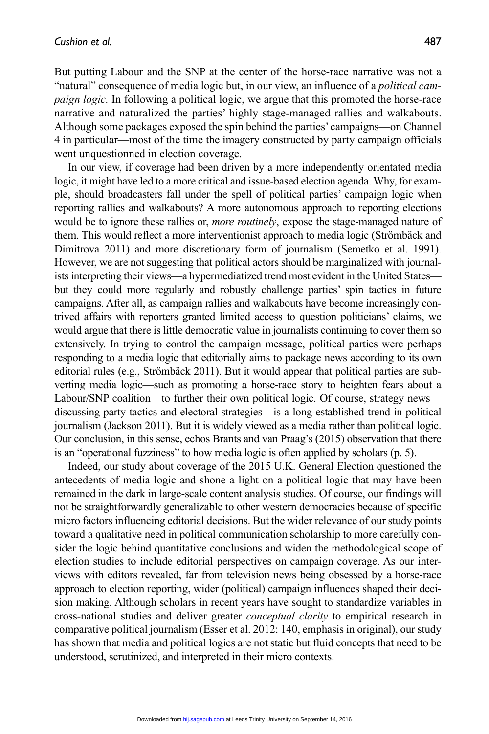But putting Labour and the SNP at the center of the horse-race narrative was not a "natural" consequence of media logic but, in our view, an influence of a *political campaign logic.* In following a political logic, we argue that this promoted the horse-race narrative and naturalized the parties' highly stage-managed rallies and walkabouts. Although some packages exposed the spin behind the parties' campaigns—on Channel 4 in particular—most of the time the imagery constructed by party campaign officials went unquestionned in election coverage.

In our view, if coverage had been driven by a more independently orientated media logic, it might have led to a more critical and issue-based election agenda. Why, for example, should broadcasters fall under the spell of political parties' campaign logic when reporting rallies and walkabouts? A more autonomous approach to reporting elections would be to ignore these rallies or, *more routinely*, expose the stage-managed nature of them. This would reflect a more interventionist approach to media logic (Strömbäck and Dimitrova 2011) and more discretionary form of journalism (Semetko et al. 1991). However, we are not suggesting that political actors should be marginalized with journalists interpreting their views—a hypermediatized trend most evident in the United States but they could more regularly and robustly challenge parties' spin tactics in future campaigns. After all, as campaign rallies and walkabouts have become increasingly contrived affairs with reporters granted limited access to question politicians' claims, we would argue that there is little democratic value in journalists continuing to cover them so extensively. In trying to control the campaign message, political parties were perhaps responding to a media logic that editorially aims to package news according to its own editorial rules (e.g., Strömbäck 2011). But it would appear that political parties are subverting media logic—such as promoting a horse-race story to heighten fears about a Labour/SNP coalition—to further their own political logic. Of course, strategy news discussing party tactics and electoral strategies—is a long-established trend in political journalism (Jackson 2011). But it is widely viewed as a media rather than political logic. Our conclusion, in this sense, echos Brants and van Praag's (2015) observation that there is an "operational fuzziness" to how media logic is often applied by scholars (p. 5).

Indeed, our study about coverage of the 2015 U.K. General Election questioned the antecedents of media logic and shone a light on a political logic that may have been remained in the dark in large-scale content analysis studies. Of course, our findings will not be straightforwardly generalizable to other western democracies because of specific micro factors influencing editorial decisions. But the wider relevance of our study points toward a qualitative need in political communication scholarship to more carefully consider the logic behind quantitative conclusions and widen the methodological scope of election studies to include editorial perspectives on campaign coverage. As our interviews with editors revealed, far from television news being obsessed by a horse-race approach to election reporting, wider (political) campaign influences shaped their decision making. Although scholars in recent years have sought to standardize variables in cross-national studies and deliver greater *conceptual clarity* to empirical research in comparative political journalism (Esser et al. 2012: 140, emphasis in original), our study has shown that media and political logics are not static but fluid concepts that need to be understood, scrutinized, and interpreted in their micro contexts.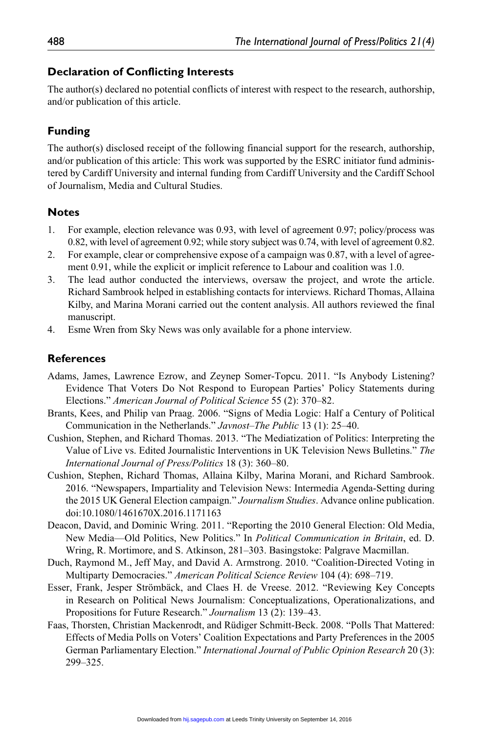#### **Declaration of Conflicting Interests**

The author(s) declared no potential conflicts of interest with respect to the research, authorship, and/or publication of this article.

#### **Funding**

The author(s) disclosed receipt of the following financial support for the research, authorship, and/or publication of this article: This work was supported by the ESRC initiator fund administered by Cardiff University and internal funding from Cardiff University and the Cardiff School of Journalism, Media and Cultural Studies.

### **Notes**

- 1. For example, election relevance was 0.93, with level of agreement 0.97; policy/process was 0.82, with level of agreement 0.92; while story subject was 0.74, with level of agreement 0.82.
- 2. For example, clear or comprehensive expose of a campaign was 0.87, with a level of agreement 0.91, while the explicit or implicit reference to Labour and coalition was 1.0.
- 3. The lead author conducted the interviews, oversaw the project, and wrote the article. Richard Sambrook helped in establishing contacts for interviews. Richard Thomas, Allaina Kilby, and Marina Morani carried out the content analysis. All authors reviewed the final manuscript.
- 4. Esme Wren from Sky News was only available for a phone interview.

### **References**

- Adams, James, Lawrence Ezrow, and Zeynep Somer-Topcu. 2011. "Is Anybody Listening? Evidence That Voters Do Not Respond to European Parties' Policy Statements during Elections." *American Journal of Political Science* 55 (2): 370–82.
- Brants, Kees, and Philip van Praag. 2006. "Signs of Media Logic: Half a Century of Political Communication in the Netherlands." *Javnost–The Public* 13 (1): 25–40.
- Cushion, Stephen, and Richard Thomas. 2013. "The Mediatization of Politics: Interpreting the Value of Live vs. Edited Journalistic Interventions in UK Television News Bulletins." *The International Journal of Press/Politics* 18 (3): 360–80.
- Cushion, Stephen, Richard Thomas, Allaina Kilby, Marina Morani, and Richard Sambrook. 2016. "Newspapers, Impartiality and Television News: Intermedia Agenda-Setting during the 2015 UK General Election campaign." *Journalism Studies*. Advance online publication. doi:10.1080/1461670X.2016.1171163
- Deacon, David, and Dominic Wring. 2011. "Reporting the 2010 General Election: Old Media, New Media—Old Politics, New Politics." In *Political Communication in Britain*, ed. D. Wring, R. Mortimore, and S. Atkinson, 281–303. Basingstoke: Palgrave Macmillan.
- Duch, Raymond M., Jeff May, and David A. Armstrong. 2010. "Coalition-Directed Voting in Multiparty Democracies." *American Political Science Review* 104 (4): 698–719.
- Esser, Frank, Jesper Strömbäck, and Claes H. de Vreese. 2012. "Reviewing Key Concepts in Research on Political News Journalism: Conceptualizations, Operationalizations, and Propositions for Future Research." *Journalism* 13 (2): 139–43.
- Faas, Thorsten, Christian Mackenrodt, and Rüdiger Schmitt-Beck. 2008. "Polls That Mattered: Effects of Media Polls on Voters' Coalition Expectations and Party Preferences in the 2005 German Parliamentary Election." *International Journal of Public Opinion Research* 20 (3): 299–325.